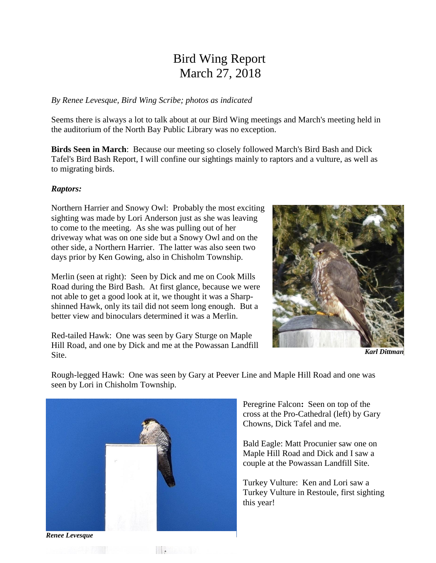# Bird Wing Report March 27, 2018

#### *By Renee Levesque, Bird Wing Scribe; photos as indicated*

Seems there is always a lot to talk about at our Bird Wing meetings and March's meeting held in the auditorium of the North Bay Public Library was no exception.

**Birds Seen in March**: Because our meeting so closely followed March's Bird Bash and Dick Tafel's Bird Bash Report, I will confine our sightings mainly to raptors and a vulture, as well as to migrating birds.

#### *Raptors:*

Northern Harrier and Snowy Owl: Probably the most exciting sighting was made by Lori Anderson just as she was leaving to come to the meeting. As she was pulling out of her driveway what was on one side but a Snowy Owl and on the other side, a Northern Harrier. The latter was also seen two days prior by Ken Gowing, also in Chisholm Township.

Merlin (seen at right): Seen by Dick and me on Cook Mills Road during the Bird Bash. At first glance, because we were not able to get a good look at it, we thought it was a Sharpshinned Hawk, only its tail did not seem long enough. But a better view and binoculars determined it was a Merlin.

Red-tailed Hawk: One was seen by Gary Sturge on Maple Hill Road, and one by Dick and me at the Powassan Landfill Site.



*Karl Dittman*

Rough-legged Hawk: One was seen by Gary at Peever Line and Maple Hill Road and one was seen by Lori in Chisholm Township.



**Britannica** 

Peregrine Falcon**:** Seen on top of the cross at the Pro-Cathedral (left) by Gary Chowns, Dick Tafel and me.

Bald Eagle: Matt Procunier saw one on Maple Hill Road and Dick and I saw a couple at the Powassan Landfill Site.

Turkey Vulture: Ken and Lori saw a Turkey Vulture in Restoule, first sighting this year!

*Renee Levesque*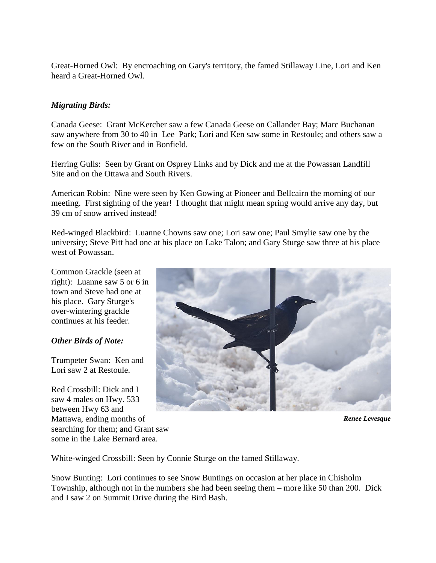Great-Horned Owl: By encroaching on Gary's territory, the famed Stillaway Line, Lori and Ken heard a Great-Horned Owl.

## *Migrating Birds:*

Canada Geese: Grant McKercher saw a few Canada Geese on Callander Bay; Marc Buchanan saw anywhere from 30 to 40 in Lee Park; Lori and Ken saw some in Restoule; and others saw a few on the South River and in Bonfield.

Herring Gulls: Seen by Grant on Osprey Links and by Dick and me at the Powassan Landfill Site and on the Ottawa and South Rivers.

American Robin: Nine were seen by Ken Gowing at Pioneer and Bellcairn the morning of our meeting. First sighting of the year! I thought that might mean spring would arrive any day, but 39 cm of snow arrived instead!

Red-winged Blackbird: Luanne Chowns saw one; Lori saw one; Paul Smylie saw one by the university; Steve Pitt had one at his place on Lake Talon; and Gary Sturge saw three at his place west of Powassan.

Common Grackle (seen at right): Luanne saw 5 or 6 in town and Steve had one at his place. Gary Sturge's over-wintering grackle continues at his feeder.

## *Other Birds of Note:*

Trumpeter Swan: Ken and Lori saw 2 at Restoule.

Red Crossbill: Dick and I saw 4 males on Hwy. 533 between Hwy 63 and Mattawa, ending months of searching for them; and Grant saw some in the Lake Bernard area.



*Renee Levesque*

White-winged Crossbill: Seen by Connie Sturge on the famed Stillaway.

Snow Bunting: Lori continues to see Snow Buntings on occasion at her place in Chisholm Township, although not in the numbers she had been seeing them – more like 50 than 200. Dick and I saw 2 on Summit Drive during the Bird Bash.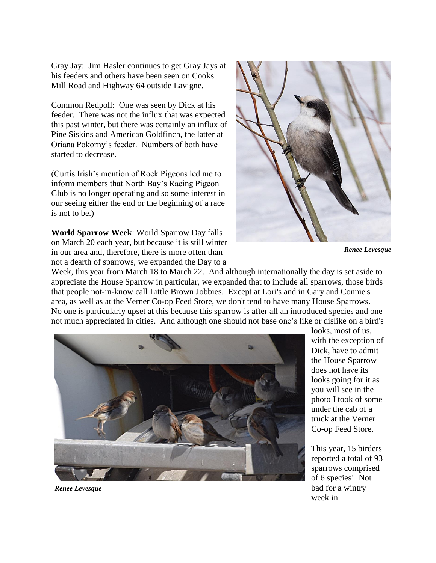Gray Jay: Jim Hasler continues to get Gray Jays at his feeders and others have been seen on Cooks Mill Road and Highway 64 outside Lavigne.

Common Redpoll: One was seen by Dick at his feeder. There was not the influx that was expected this past winter, but there was certainly an influx of Pine Siskins and American Goldfinch, the latter at Oriana Pokorny's feeder. Numbers of both have started to decrease.

(Curtis Irish's mention of Rock Pigeons led me to inform members that North Bay's Racing Pigeon Club is no longer operating and so some interest in our seeing either the end or the beginning of a race is not to be.)

**World Sparrow Week**: World Sparrow Day falls on March 20 each year, but because it is still winter in our area and, therefore, there is more often than not a dearth of sparrows, we expanded the Day to a



*Renee Levesque*

Week, this year from March 18 to March 22. And although internationally the day is set aside to appreciate the House Sparrow in particular, we expanded that to include all sparrows, those birds that people not-in-know call Little Brown Jobbies. Except at Lori's and in Gary and Connie's area, as well as at the Verner Co-op Feed Store, we don't tend to have many House Sparrows. No one is particularly upset at this because this sparrow is after all an introduced species and one not much appreciated in cities. And although one should not base one's like or dislike on a bird's



looks, most of us, with the exception of Dick, have to admit the House Sparrow does not have its looks going for it as you will see in the photo I took of some under the cab of a truck at the Verner Co-op Feed Store.

This year, 15 birders reported a total of 93 sparrows comprised of 6 species! Not bad for a wintry week in

*Renee Levesque*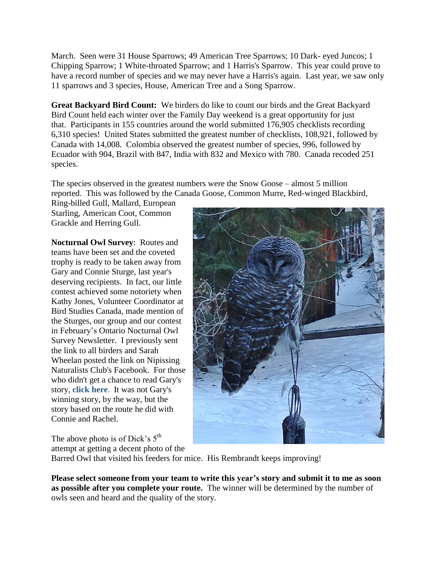March. Seen were 31 House Sparrows; 49 American Tree Sparrows; 10 Dark- eyed Juncos; 1 Chipping Sparrow; 1 White-throated Sparrow; and 1 Harris's Sparrow. This year could prove to have a record number of species and we may never have a Harris's again. Last year, we saw only 11 sparrows and 3 species, House, American Tree and a Song Sparrow.

**Great Backyard Bird Count:** We birders do like to count our birds and the Great Backyard Bird Count held each winter over the Family Day weekend is a great opportunity for just that. Participants in 155 countries around the world submitted 176,905 checklists recording 6,310 species! United States submitted the greatest number of checklists, 108,921, followed by Canada with 14,008. Colombia observed the greatest number of species, 996, followed by Ecuador with 904, Brazil with 847, India with 832 and Mexico with 780. Canada recoded 251 species.

The species observed in the greatest numbers were the Snow Goose – almost 5 million reported. This was followed by the Canada Goose, Common Murre, Red-winged Blackbird,

Ring-billed Gull, Mallard, European Starling, American Coot, Common Grackle and Herring Gull.

**Nocturnal Owl Survey**: Routes and teams have been set and the coveted trophy is ready to be taken away from Gary and Connie Sturge, last year's deserving recipients. In fact, our little contest achieved some notoriety when Kathy Jones, Volunteer Coordinator at Bird Studies Canada, made mention of the Sturges, our group and our contest in February's Ontario Nocturnal Owl Survey Newsletter. I previously sent the link to all birders and Sarah Wheelan posted the link on Nipissing Naturalists Club's Facebook. For those who didn't get a chance to read Gary's story, **[click here](http://birdscanada.org/download/ONowlnews.pdf)**. It was not Gary's winning story, by the way, but the story based on the route he did with Connie and Rachel.

The above photo is of Dick's  $5<sup>th</sup>$ attempt at getting a decent photo of the

Barred Owl that visited his feeders for mice. His Rembrandt keeps improving!

**Please select someone from your team to write this year's story and submit it to me as soon as possible after you complete your route.** The winner will be determined by the number of owls seen and heard and the quality of the story.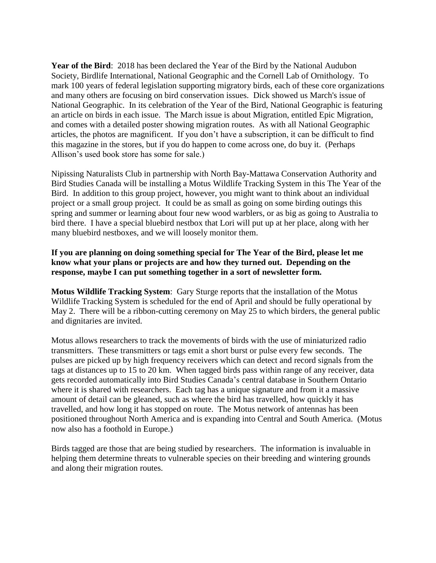**Year of the Bird**: 2018 has been declared the Year of the Bird by the National Audubon Society, Birdlife International, National Geographic and the Cornell Lab of Ornithology. To mark 100 years of federal legislation supporting migratory birds, each of these core organizations and many others are focusing on bird conservation issues. Dick showed us March's issue of National Geographic. In its celebration of the Year of the Bird, National Geographic is featuring an article on birds in each issue. The March issue is about Migration, entitled Epic Migration, and comes with a detailed poster showing migration routes. As with all National Geographic articles, the photos are magnificent. If you don't have a subscription, it can be difficult to find this magazine in the stores, but if you do happen to come across one, do buy it. (Perhaps Allison's used book store has some for sale.)

Nipissing Naturalists Club in partnership with North Bay-Mattawa Conservation Authority and Bird Studies Canada will be installing a Motus Wildlife Tracking System in this The Year of the Bird. In addition to this group project, however, you might want to think about an individual project or a small group project. It could be as small as going on some birding outings this spring and summer or learning about four new wood warblers, or as big as going to Australia to bird there. I have a special bluebird nestbox that Lori will put up at her place, along with her many bluebird nestboxes, and we will loosely monitor them.

## **If you are planning on doing something special for The Year of the Bird, please let me know what your plans or projects are and how they turned out. Depending on the response, maybe I can put something together in a sort of newsletter form.**

**Motus Wildlife Tracking System**: Gary Sturge reports that the installation of the Motus Wildlife Tracking System is scheduled for the end of April and should be fully operational by May 2. There will be a ribbon-cutting ceremony on May 25 to which birders, the general public and dignitaries are invited.

Motus allows researchers to track the movements of birds with the use of miniaturized radio transmitters. These transmitters or tags emit a short burst or pulse every few seconds. The pulses are picked up by high frequency receivers which can detect and record signals from the tags at distances up to 15 to 20 km. When tagged birds pass within range of any receiver, data gets recorded automatically into Bird Studies Canada's central database in Southern Ontario where it is shared with researchers. Each tag has a unique signature and from it a massive amount of detail can be gleaned, such as where the bird has travelled, how quickly it has travelled, and how long it has stopped on route. The Motus network of antennas has been positioned throughout North America and is expanding into Central and South America. (Motus now also has a foothold in Europe.)

Birds tagged are those that are being studied by researchers. The information is invaluable in helping them determine threats to vulnerable species on their breeding and wintering grounds and along their migration routes.